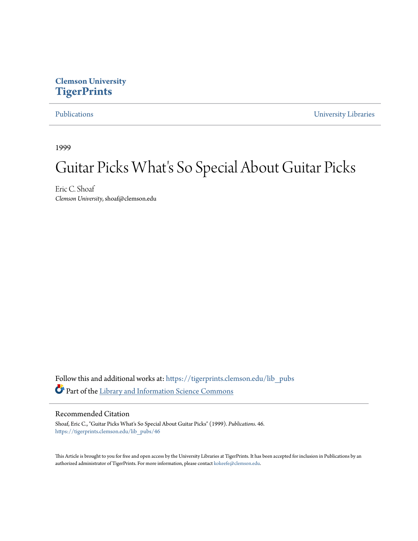### <span id="page-0-0"></span>**Clemson University [TigerPrints](https://tigerprints.clemson.edu?utm_source=tigerprints.clemson.edu%2Flib_pubs%2F46&utm_medium=PDF&utm_campaign=PDFCoverPages)**

[Publications](https://tigerprints.clemson.edu/lib_pubs?utm_source=tigerprints.clemson.edu%2Flib_pubs%2F46&utm_medium=PDF&utm_campaign=PDFCoverPages) [University Libraries](https://tigerprints.clemson.edu/libraries?utm_source=tigerprints.clemson.edu%2Flib_pubs%2F46&utm_medium=PDF&utm_campaign=PDFCoverPages)

1999

## Guitar Picks What's So Special About Guitar Picks

Eric C. Shoaf *Clemson University*, shoaf@clemson.edu

Follow this and additional works at: [https://tigerprints.clemson.edu/lib\\_pubs](https://tigerprints.clemson.edu/lib_pubs?utm_source=tigerprints.clemson.edu%2Flib_pubs%2F46&utm_medium=PDF&utm_campaign=PDFCoverPages) Part of the [Library and Information Science Commons](http://network.bepress.com/hgg/discipline/1018?utm_source=tigerprints.clemson.edu%2Flib_pubs%2F46&utm_medium=PDF&utm_campaign=PDFCoverPages)

#### Recommended Citation

Shoaf, Eric C., "Guitar Picks What's So Special About Guitar Picks" (1999). *Publications*. 46. [https://tigerprints.clemson.edu/lib\\_pubs/46](https://tigerprints.clemson.edu/lib_pubs/46?utm_source=tigerprints.clemson.edu%2Flib_pubs%2F46&utm_medium=PDF&utm_campaign=PDFCoverPages)

This Article is brought to you for free and open access by the University Libraries at TigerPrints. It has been accepted for inclusion in Publications by an authorized administrator of TigerPrints. For more information, please contact [kokeefe@clemson.edu.](mailto:kokeefe@clemson.edu)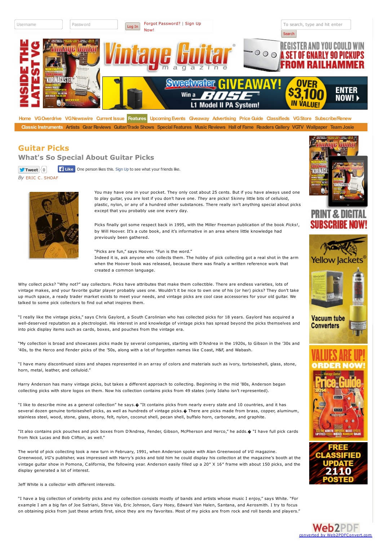

**[Home](http://www.vintageguitar.com/) [VGOverdrive](http://www.vintageguitar.com/vgod/) [VGNewswire](http://www.vintageguitar.com/category/newswire/) [Current](http://www.vintageguitar.com/current-issue/) Issue [Features](http://www.vintageguitar.com/features/) [UpcomingEvents](http://www.vintageguitar.com/features/upcoming-events/) [Giveaway](http://www.vintageguitar.com/giveaway-i/) [Advertising](http://www.vintageguitar.com/advertising/) [PriceGuide](http://www.vintageguitar.com/price-guide/) [Classifieds](http://www.vintageguitar.com/free-classifieds/) [VGStore](http://store.vintageguitar.com/) [Subscribe/Renew](http://www.vintageguitar.com/subscription-services/)** Classic [Instruments](http://www.vintageguitar.com/category/classic-instruments/) [Artists](http://www.vintageguitar.com/category/artists/) Gear [Reviews](http://www.vintageguitar.com/category/music/) [Guitar/Trade](http://www.vintageguitar.com/category/shows/) Shows Special [Features](http://www.vintageguitar.com/special-features/) Music Reviews Hall of [Fame](http://www.vintageguitar.com/hall-of-fame/) Readers Gallery [VGTV](http://www.youtube.com/vintageguitaronline) [Wallpaper](http://www.vintageguitar.com/features/wallpaper/) Team Josie

#### **Guitar Picks**

**What's So Special About Guitar Picks**

 $\bullet$  Tweet  $|0|$ **Like** One person likes this. Sign Up to see what your friends like.

*By* ERIC C. [SHOAF](http://www.vintageguitar.com/author/eric-c-shoaf/)



You may have one in your pocket. They only cost about 25 cents. But if you have always used one to play guitar, you are lost if you don't have one. *They* are picks! Skinny little bits of celluloid, plastic, nylon, or any of a hundred other substances. There really isn't anything special about picks except that you probably use one every day.

Picks finally got some respect back in 1995, with the Miller Freeman publication of the book *Picks!*, by Will Hoover. It's a cute book, and it's informative in an area where little knowledge had previously been gathered.

"Picks are fun," says Hoover. "Fun is the word." Indeed it is, ask anyone who collects them. The hobby of pick collecting got a real shot in the arm when the Hoover book was released, because there was finally a written reference work that created a common language.

Why collect picks? "Why not?" say collectors. Picks have attributes that make them collectible. There are endless varieties, lots of vintage makes, and your favorite guitar player probably uses one. Wouldn't it be nice to own one of his (or her) picks? They don't take up much space, a ready trader market exists to meet your needs, and vintage picks are cool case accessories for your old guitar. We talked to some pick collectors to find out what inspires them.

"I really like the vintage picks," says Chris Gaylord, a South Carolinian who has collected picks for 18 years. Gaylord has acquired a well-deserved reputation as a plectrologist. His interest in and knowledge of vintage picks has spread beyond the picks themselves and into pick display items such as cards, boxes, and pouches from the vintage era.

"My collection is broad and showcases picks made by several companies, starting with D'Andrea in the 1920s, to Gibson in the '30s and '40s, to the Herco and Fender picks of the '50s, along with a lot of forgotten names like Coast, H&F, and Wabash.

"I have many discontinued sizes and shapes represented in an array of colors and materials such as ivory, tortoiseshell, glass, stone, horn, metal, leather, and celluloid."

Harry Anderson has many vintage picks, but takes a different approach to collecting. Beginning in the mid '80s, Anderson began collecting picks with store logos on them. Now his collection contains picks from 49 states (only Idaho isn't represented).

"I like to describe mine as a general collection" he says.� "It contains picks from nearly every state and 10 countries, and it has several dozen genuine tortoiseshell picks, as well as hundreds of vintage picks. $\phi$  There are picks made from brass, copper, aluminum, stainless steel, wood, stone, glass, ebony, felt, nylon, coconut shell, pecan shell, buffalo horn, carbonate, and graphite.

"It also contains pick pouches and pick boxes from D'Andrea, Fender, Gibson, McPherson and Herco," he adds.� "I have full pick cards from Nick Lucas and Bob Clifton, as well."

The world of pick collecting took a new turn in February, 1991, when Anderson spoke with Alan Greenwood of *VG* magazine. Greenwood, *VG*'s publisher, was impressed with Harry's picks and told him he could display his collection at the magazine's booth at the vintage guitar show in Pomona, California, the following year. Anderson easily filled up a 20″ X 16″ frame with about 150 picks, and the display generated a lot of interest.

Jeff White is a collector with different interests.

"I have a big collection of celebrity picks and my collection consists mostly of bands and artists whose music I enjoy," says White. "For example I am a big fan of Joe Satriani, Steve Vai, Eric Johnson, Gary Hoey, Edward Van Halen, Santana, and Aerosmith. I try to focus on obtaining picks from just these artists first, since they are my favorites. Most of my picks are from rock and roll bands and players."



# **PRINT & D**







**Web2PDF** 

converte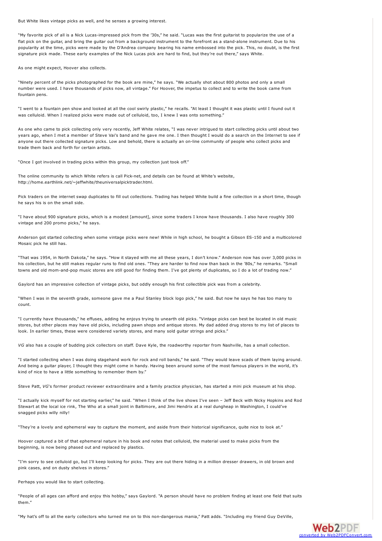But White likes vintage picks as well, and he senses a growing interest.

"My favorite pick of all is a Nick Lucas-impressed pick from the '30s," he said. "Lucas was the first guitarist to popularize the use of a flat pick on the guitar, and bring the guitar out from a background instrument to the forefront as a stand-alone instrument. Due to his popularity at the time, picks were made by the D'Andrea company bearing his name embossed into the pick. This, no doubt, is the first signature pick made. These early examples of the Nick Lucas pick are hard to find, but they're out there," says White.

As one might expect, Hoover also collects.

"Ninety percent of the picks photographed for the book are mine," he says. "We actually shot about 800 photos and only a small number were used. I have thousands of picks now, all vintage." For Hoover, the impetus to collect and to write the book came from fountain pens.

"I went to a fountain pen show and looked at all the cool swirly plastic," he recalls. "At least I thought it was plastic until I found out it was celluloid. When I realized picks were made out of celluloid, too, I knew I was onto something."

As one who came to pick collecting only very recently, Jeff White relates, "I was never intrigued to start collecting picks until about two years ago, when I met a member of Steve Vai's band and he gave me one. I then thought I would do a search on the Internet to see if anyone out there collected signature picks. Low and behold, there is actually an on-line community of people who collect picks and trade them back and forth for certain artists.

"Once I got involved in trading picks within this group, my collection just took off."

The online community to which White refers is call Pick-net, and details can be found at White's website, http://home.earthlink.net/~jeffwhite/theuniversalpicktrader.html.

Pick traders on the internet swap duplicates to fill out collections. Trading has helped White build a fine collection in a short time, though he says his is on the small side.

"I have about 900 signature picks, which is a modest [amount], since some traders I know have thousands. I also have roughly 300 vintage and 200 promo picks," he says.

Anderson got started collecting when some vintage picks were new! While in high school, he bought a Gibson ES-150 and a multicolored Mosaic pick he still has.

"That was 1954, in North Dakota," he says. "How it stayed with me all these years, I don't know." Anderson now has over 3,000 picks in his collection, but he still makes regular runs to find old ones. "They are harder to find now than back in the '80s," he remarks. "Small towns and old mom-and-pop music stores are still good for finding them. I've got plenty of duplicates, so I do a lot of trading now."

Gaylord has an impressive collection of vintage picks, but oddly enough his first collectible pick was from a celebrity.

"When I was in the seventh grade, someone gave me a Paul Stanley block logo pick," he said. But now he says he has too many to count.

"I currently have thousands," he effuses, adding he enjoys trying to unearth old picks. "Vintage picks can best be located in old music stores, but other places may have old picks, including pawn shops and antique stores. My dad added drug stores to my list of places to look. In earlier times, these were considered variety stores, and many sold guitar strings and picks."

*VG* also has a couple of budding pick collectors on staff. Dave Kyle, the roadworthy reporter from Nashville, has a small collection.

"I started collecting when I was doing stagehand work for rock and roll bands," he said. "They would leave scads of them laying around. And being a guitar player, I thought they might come in handy. Having been around some of the most famous players in the world, it's kind of nice to have a little something to remember them by."

Steve Patt, *VG*'s former product reviewer extraordinaire and a family practice physician, has started a mini pick museum at his shop.

"I actually kick myself for not starting earlier," he said. "When I think of the live shows I've seen – Jeff Beck with Nicky Hopkins and Rod Stewart at the local ice rink, The Who at a small joint in Baltimore, and Jimi Hendrix at a real dungheap in Washington, I could've snagged picks willy nilly!

"They're a lovely and ephemeral way to capture the moment, and aside from their historical significance, quite nice to look at."

Hoover captured a bit of that ephemeral nature in his book and notes that celluloid, the material used to make picks from the beginning, is now being phased out and replaced by plastics.

"I'm sorry to see celluloid go, but I'll keep looking for picks. They are out there hiding in a million dresser drawers, in old brown and pink cases, and on dusty shelves in stores."

Perhaps you would like to start collecting.

"People of all ages can afford and enjoy this hobby," says Gaylord. "A person should have no problem finding at least one field that suits them."

"My hat's off to all the early collectors who turned me on to this non-dangerous mania," Patt adds. "Including my friend Guy DeVille,